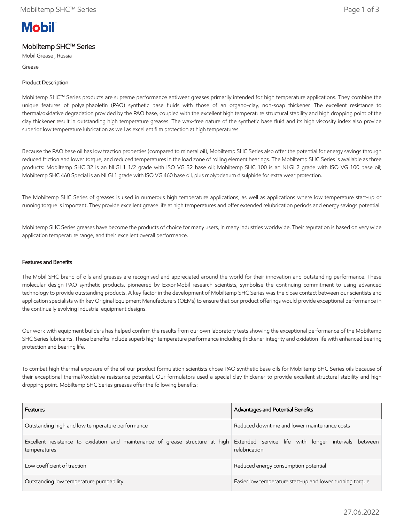# **Mobil**

# Mobiltemp SHC™ Series

Mobil Grease , Russia

Grease

# Product Description

Mobiltemp SHC™ Series products are supreme performance antiwear greases primarily intended for high temperature applications. They combine the unique features of polyalphaolefin (PAO) synthetic base fluids with those of an organo-clay, non-soap thickener. The excellent resistance to thermal/oxidative degradation provided by the PAO base, coupled with the excellent high temperature structural stability and high dropping point of the clay thickener result in outstanding high temperature greases. The wax-free nature of the synthetic base fluid and its high viscosity index also provide superior low temperature lubrication as well as excellent film protection at high temperatures.

Because the PAO base oil has low traction properties (compared to mineral oil), Mobiltemp SHC Series also offer the potential for energy savings through reduced friction and lower torque, and reduced temperatures in the load zone of rolling element bearings. The Mobiltemp SHC Series is available as three products: Mobiltemp SHC 32 is an NLGI 1 1/2 grade with ISO VG 32 base oil; Mobiltemp SHC 100 is an NLGI 2 grade with ISO VG 100 base oil; Mobiltemp SHC 460 Special is an NLGI 1 grade with ISO VG 460 base oil, plus molybdenum disulphide for extra wear protection.

The Mobiltemp SHC Series of greases is used in numerous high temperature applications, as well as applications where low temperature start-up or running torque is important. They provide excellent grease life at high temperatures and offer extended relubrication periods and energy savings potential.

Mobiltemp SHC Series greases have become the products of choice for many users, in many industries worldwide. Their reputation is based on very wide application temperature range, and their excellent overall performance.

## Features and Benefits

The Mobil SHC brand of oils and greases are recognised and appreciated around the world for their innovation and outstanding performance. These molecular design PAO synthetic products, pioneered by ExxonMobil research scientists, symbolise the continuing commitment to using advanced technology to provide outstanding products. A key factor in the development of Mobiltemp SHC Series was the close contact between our scientists and application specialists with key Original Equipment Manufacturers (OEMs) to ensure that our product offerings would provide exceptional performance in the continually evolving industrial equipment designs.

Our work with equipment builders has helped confirm the results from our own laboratory tests showing the exceptional performance of the Mobiltemp SHC Series lubricants. These benefits include superb high temperature performance including thickener integrity and oxidation life with enhanced bearing protection and bearing life.

To combat high thermal exposure of the oil our product formulation scientists chose PAO synthetic base oils for Mobiltemp SHC Series oils because of their exceptional thermal/oxidative resistance potential. Our formulators used a special clay thickener to provide excellent structural stability and high dropping point. Mobiltemp SHC Series greases offer the following benefits:

| <b>Features</b>                                                                                                                                   | Advantages and Potential Benefits                        |  |  |  |
|---------------------------------------------------------------------------------------------------------------------------------------------------|----------------------------------------------------------|--|--|--|
| Outstanding high and low temperature performance                                                                                                  | Reduced downtime and lower maintenance costs             |  |  |  |
| Excellent resistance to oxidation and maintenance of grease structure at high Extended service life with longer intervals between<br>temperatures | relubrication                                            |  |  |  |
| Low coefficient of traction                                                                                                                       | Reduced energy consumption potential                     |  |  |  |
| Outstanding low temperature pumpability                                                                                                           | Easier low temperature start-up and lower running torque |  |  |  |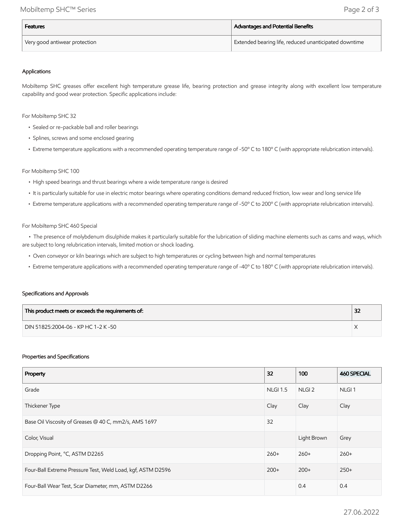| <b>Features</b>               | Advantages and Potential Benefits                                  |  |  |
|-------------------------------|--------------------------------------------------------------------|--|--|
| Very good antiwear protection | <sup>I</sup> Extended bearing life, reduced unanticipated downtime |  |  |

### Applications

Mobiltemp SHC greases offer excellent high temperature grease life, bearing protection and grease integrity along with excellent low temperature capability and good wear protection. Specific applications include:

For Mobiltemp SHC 32

- Sealed or re-packable ball and roller bearings
- Splines, screws and some enclosed gearing
- Extreme temperature applications with a recommended operating temperature range of -50º C to 180º C (with appropriate relubrication intervals).

#### For Mobiltemp SHC 100

- High speed bearings and thrust bearings where a wide temperature range is desired
- It is particularly suitable for use in electric motor bearings where operating conditions demand reduced friction, low wear and long service life
- Extreme temperature applications with a recommended operating temperature range of -50º C to 200º C (with appropriate relubrication intervals).

#### For Mobiltemp SHC 460 Special

 • The presence of molybdenum disulphide makes it particularly suitable for the lubrication of sliding machine elements such as cams and ways, which are subject to long relubrication intervals, limited motion or shock loading.

- Oven conveyor or kiln bearings which are subject to high temperatures or cycling between high and normal temperatures
- Extreme temperature applications with a recommended operating temperature range of -40º C to 180º C (with appropriate relubrication intervals).

#### Specifications and Approvals

| This product meets or exceeds the requirements of: | 32 |
|----------------------------------------------------|----|
| DIN 51825:2004-06 - KP HC 1-2 K -50                |    |

#### Properties and Specifications

| Property                                                    | 32              | 100               | <b>460 SPECIAL</b> |
|-------------------------------------------------------------|-----------------|-------------------|--------------------|
| Grade                                                       | <b>NLGI 1.5</b> | NLGI <sub>2</sub> | NLGI <sub>1</sub>  |
| Thickener Type                                              | Clay            | Clay              | Clay               |
| Base Oil Viscosity of Greases @ 40 C, mm2/s, AMS 1697       | 32              |                   |                    |
| Color, Visual                                               |                 | Light Brown       | Grey               |
| Dropping Point, °C, ASTM D2265                              | $260+$          | $260+$            | $260+$             |
| Four-Ball Extreme Pressure Test, Weld Load, kgf, ASTM D2596 | $200+$          | $200+$            | $250+$             |
| Four-Ball Wear Test, Scar Diameter, mm, ASTM D2266          |                 | 0.4               | 0.4                |